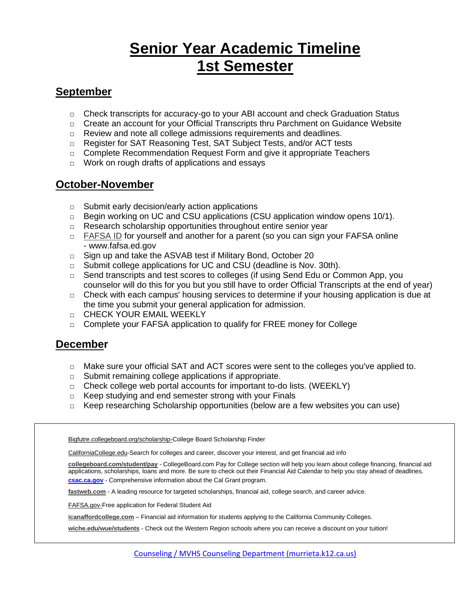# **Senior Year Academic Timeline 1st Semester**

### **September**

- $\Box$  Check transcripts for accuracy-go to your ABI account and check Graduation Status
- □ Create an account for your Official Transcripts thru Parchment on Guidance Website
- □ Review and note all college admissions requirements and deadlines.
- □ Register for SAT Reasoning Test, SAT Subject Tests, and/or ACT tests
- $\Box$  Complete Recommendation Request Form and give it appropriate Teachers
- □ Work on rough drafts of applications and essays

### **October-November**

- $\Box$  Submit early decision/early action applications
- $\Box$  Begin working on UC and CSU applications (CSU application window opens 10/1).
- □ Research scholarship opportunities throughout entire senior year
- □ [FAFSA](https://studentaid.ed.gov/sa/fafsa/filling-out/fsaid#pin-replacement) ID for yourself and another for a parent (so you can sign your FAFSA online - www.fafsa.ed.gov
- □ Sign up and take the ASVAB test if Military Bond, October 20
- □ Submit college applications for UC and CSU (deadline is Nov. 30th).
- $\Box$  Send transcripts and test scores to colleges (if using Send Edu or Common App, you counselor will do this for you but you still have to order Official Transcripts at the end of year)
- $\Box$  Check with each campus' housing services to determine if your housing application is due at the time you submit your general application for admission.
- □ CHECK YOUR EMAIL WEEKLY
- □ Complete your FAFSA application to qualify for FREE money for College

### **December**

- □ Make sure your official SAT and ACT scores were sent to the colleges you've applied to.
- □ Submit remaining college applications if appropriate.
- $\Box$  Check college web portal accounts for important to-do lists. (WEEKLY)
- □ Keep studying and end semester strong with your Finals
- $\Box$  Keep researching Scholarship opportunities (below are a few websites you can use)

| Bigfutre.collegeboard.org/scholarship-College Board Scholarship Finder                                   |  |  |  |  |  |  |  |
|----------------------------------------------------------------------------------------------------------|--|--|--|--|--|--|--|
| CaliforniaCollege.edu-Search for colleges and career, discover your interest, and get financial aid info |  |  |  |  |  |  |  |
|                                                                                                          |  |  |  |  |  |  |  |

**[collegeboard.com/student/pay](http://www.collegeboard.com/student/pay)** - CollegeBoard.com Pay for College section will help you learn about college financing, financial aid applications, scholarships, loans and more. Be sure to check out their Financial Aid Calendar to help you stay ahead of deadlines. **[csac.ca.gov](http://www.csac.ca.gov/)** - Comprehensive information about the Cal Grant program.

**[fastweb.com](http://www.fastweb.com/)** - A leading resource for targeted scholarships, financial aid, college search, and career advice.

FAFSA.gov-Free application for Federal Student Aid

**[icanaffordcollege.com](http://www.icanaffordcollege.com/)** – Financial aid information for students applying to the California Community Colleges.

**[wiche.edu/wue/students](http://wiche.edu/wue/students)** - Check out the Western Region schools where you can receive a discount on your tuition!